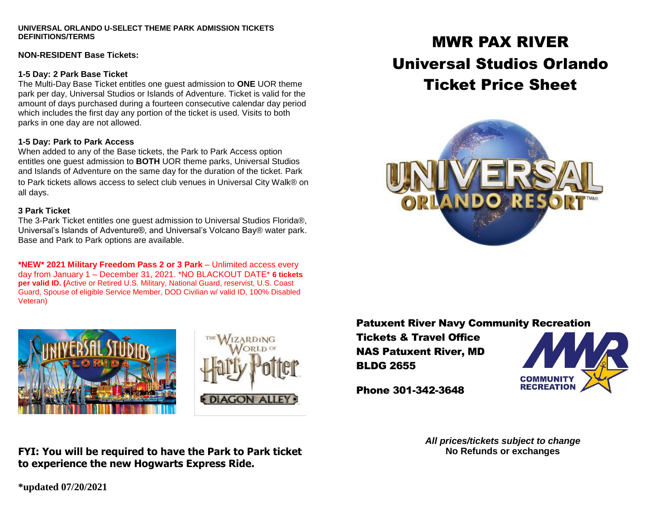#### **UNIVERSAL ORLANDO U-SELECT THEME PARK ADMISSION TICKETS DEFINITIONS/TERMS**

#### **NON-RESIDENT Base Tickets:**

#### **1-5 Day: 2 Park Base Ticket**

The Multi-Day Base Ticket entitles one guest admission to **ONE** UOR theme park per day, Universal Studios or Islands of Adventure. Ticket is valid for the amount of days purchased during a fourteen consecutive calendar day period which includes the first day any portion of the ticket is used. Visits to both parks in one day are not allowed.

### **1-5 Day: Park to Park Access**

When added to any of the Base tickets, the Park to Park Access option entitles one guest admission to **BOTH** UOR theme parks, Universal Studios and Islands of Adventure on the same day for the duration of the ticket. Park to Park tickets allows access to select club venues in Universal City Walk® on all days.

### **3 Park Ticket**

The 3-Park Ticket entitles one guest admission to Universal Studios Florida®, Universal's Islands of Adventure®, and Universal's Volcano Bay® water park. Base and Park to Park options are available.

**\*NEW\* 2021 Military Freedom Pass 2 or 3 Park** – Unlimited access every day from January 1 – December 31, 2021. \*NO BLACKOUT DATE\* **6 tickets per valid ID. (**Active or Retired U.S. Military, National Guard, reservist, U.S. Coast Guard, Spouse of eligible Service Member, DOD Civilian w/ valid ID, 100% Disabled Veteran)





# MWR PAX RIVER Universal Studios Orlando Ticket Price Sheet



## Patuxent River Navy Community Recreation

Tickets & Travel Office NAS Patuxent River, MD BLDG 2655



Phone 301-342-3648

*All prices/tickets subject to change* **No Refunds or exchanges**

**FYI: You will be required to have the Park to Park ticket to experience the new Hogwarts Express Ride.**

**\*updated 07/20/2021**